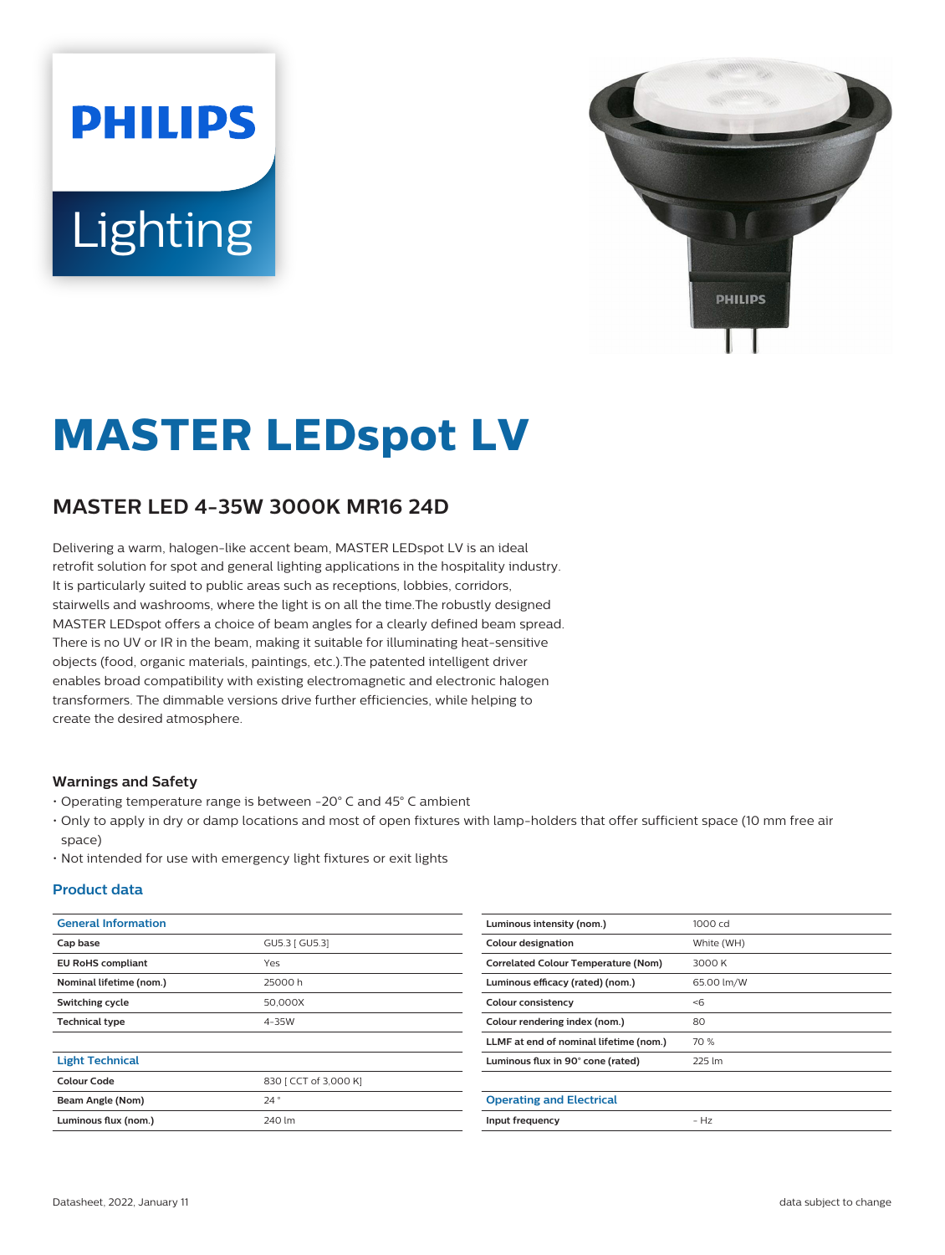# **PHILIPS** Lighting



# **MASTER LEDspot LV**

## **MASTER LED 4-35W 3000K MR16 24D**

Delivering a warm, halogen-like accent beam, MASTER LEDspot LV is an ideal retrofit solution for spot and general lighting applications in the hospitality industry. It is particularly suited to public areas such as receptions, lobbies, corridors, stairwells and washrooms, where the light is on all the time.The robustly designed MASTER LEDspot offers a choice of beam angles for a clearly defined beam spread. There is no UV or IR in the beam, making it suitable for illuminating heat-sensitive objects (food, organic materials, paintings, etc.).The patented intelligent driver enables broad compatibility with existing electromagnetic and electronic halogen transformers. The dimmable versions drive further efficiencies, while helping to create the desired atmosphere.

#### **Warnings and Safety**

- Operating temperature range is between -20° C and 45° C ambient
- Only to apply in dry or damp locations and most of open fixtures with lamp-holders that offer sufficient space (10 mm free air space)
- Not intended for use with emergency light fixtures or exit lights

#### **Product data**

| <b>General Information</b> |                       |  |
|----------------------------|-----------------------|--|
| Cap base                   | GU5.3 [ GU5.3]        |  |
| <b>EU RoHS compliant</b>   | Yes                   |  |
| Nominal lifetime (nom.)    | 25000h                |  |
| Switching cycle            | 50,000X               |  |
| <b>Technical type</b>      | 4-35W                 |  |
|                            |                       |  |
| <b>Light Technical</b>     |                       |  |
| Colour Code                | 830   CCT of 3,000 K] |  |
| Beam Angle (Nom)           | 24°                   |  |
| Luminous flux (nom.)       | 240 lm                |  |
|                            |                       |  |

| Luminous intensity (nom.)                  | $1000 \text{ cd}$ |
|--------------------------------------------|-------------------|
| <b>Colour designation</b>                  | White (WH)        |
| <b>Correlated Colour Temperature (Nom)</b> | 3000 K            |
| Luminous efficacy (rated) (nom.)           | 65.00 lm/W        |
| Colour consistency                         | < 6               |
| Colour rendering index (nom.)              | 80                |
| LLMF at end of nominal lifetime (nom.)     | 70 %              |
| Luminous flux in 90° cone (rated)          | 225 lm            |
|                                            |                   |
| <b>Operating and Electrical</b>            |                   |
| Input frequency                            | $- H7$            |
|                                            |                   |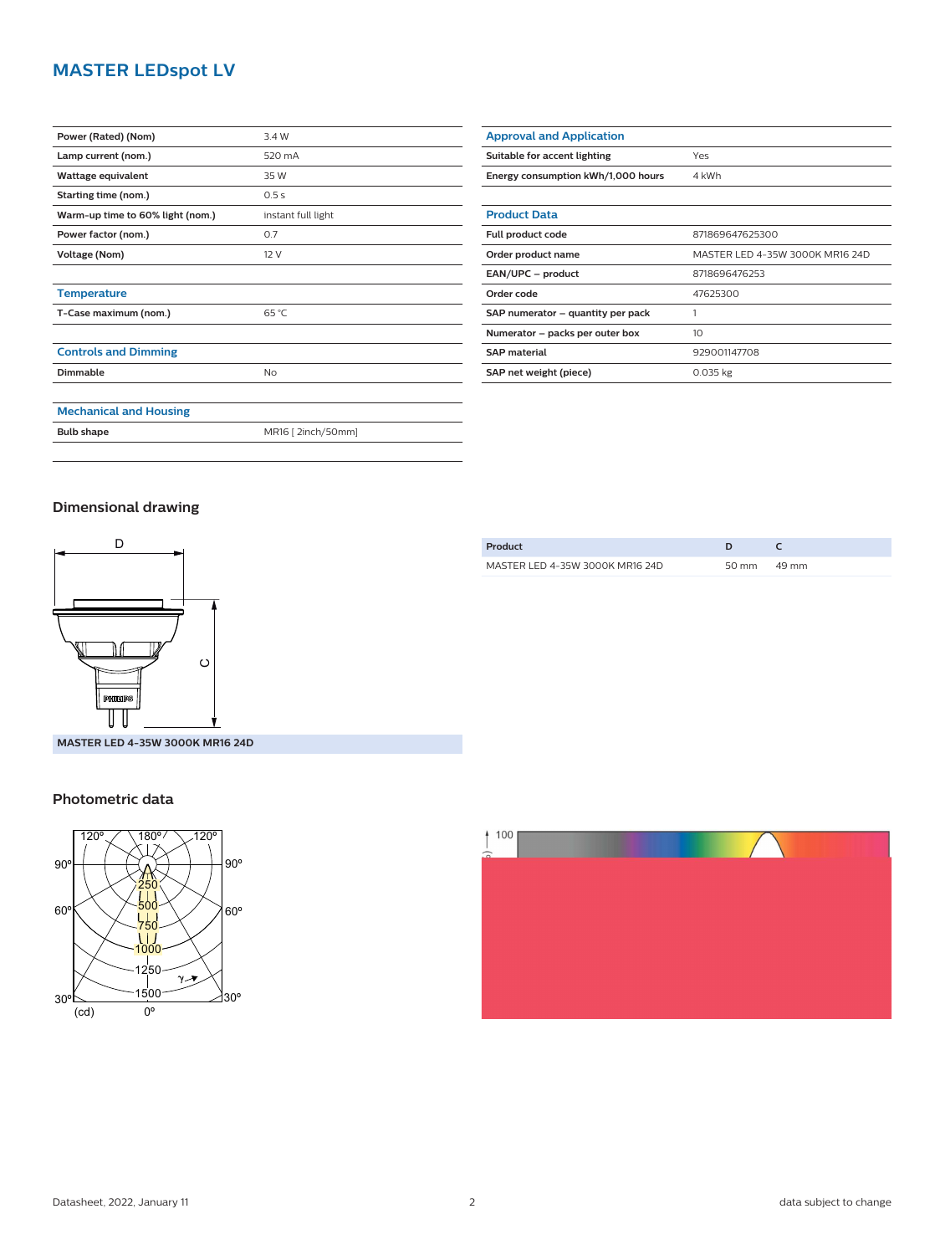### **MASTER LEDspot LV**

| Power (Rated) (Nom)              | 3.4 W              |
|----------------------------------|--------------------|
| Lamp current (nom.)              | 520 mA             |
| Wattage equivalent               | 35 W               |
| Starting time (nom.)             | 0.5s               |
| Warm-up time to 60% light (nom.) | instant full light |
| Power factor (nom.)              | 0.7                |
| Voltage (Nom)                    | 12V                |
|                                  |                    |
| <b>Temperature</b>               |                    |
| T-Case maximum (nom.)            | 65 °C              |
|                                  |                    |
| <b>Controls and Dimming</b>      |                    |
| Dimmable                         | No                 |
|                                  |                    |
| <b>Mechanical and Housing</b>    |                    |
| <b>Bulb shape</b>                | MR16 [ 2inch/50mm] |

| <b>Approval and Application</b>    |                                 |
|------------------------------------|---------------------------------|
| Suitable for accent lighting       | Yes                             |
| Energy consumption kWh/1,000 hours | 4 kWh                           |
|                                    |                                 |
| <b>Product Data</b>                |                                 |
| Full product code                  | 871869647625300                 |
| Order product name                 | MASTER LED 4-35W 3000K MR16 24D |
| EAN/UPC - product                  | 8718696476253                   |
| Order code                         | 47625300                        |
| SAP numerator – quantity per pack  | 1                               |
| Numerator - packs per outer box    | 10 <sup>2</sup>                 |
| <b>SAP</b> material                | 929001147708                    |
| SAP net weight (piece)             | $0.035$ kg                      |

#### **Dimensional drawing**



**MASTER LED 4-35W 3000K MR16 24D**

#### **Photometric data**







Datasheet, 2022, January 11 2 data subject to change